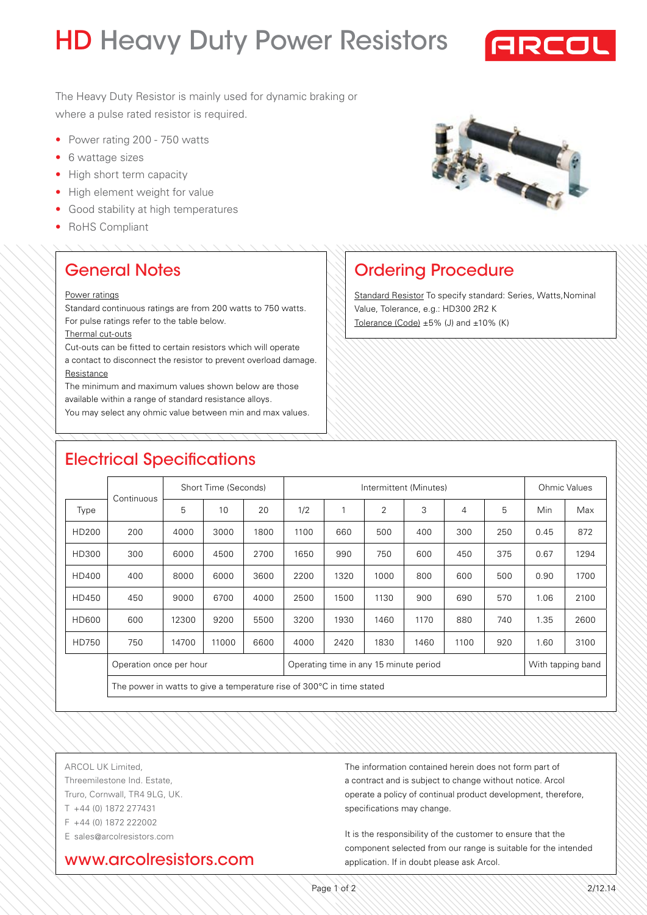# **HD Heavy Duty Power Resistors**



The Heavy Duty Resistor is mainly used for dynamic braking or where a pulse rated resistor is required.

- Power rating 200 750 watts
- 6 wattage sizes
- High short term capacity
- High element weight for value
- Good stability at high temperatures
- RoHS Compliant



Ordering Procedure

Value, Tolerance, e.g.: HD300 2R2 K Tolerance (Code) ±5% (J) and ±10% (K)

Standard Resistor To specify standard: Series, Watts,Nominal

## General Notes

#### Power ratings

Standard continuous ratings are from 200 watts to 750 watts. For pulse ratings refer to the table below.

Thermal cut-outs

Cut-outs can be fitted to certain resistors which will operate a contact to disconnect the resistor to prevent overload damage. **Resistance** 

The minimum and maximum values shown below are those available within a range of standard resistance alloys.

You may select any ohmic value between min and max values.

# Electrical Specifications

|              |                                                                        | Short Time (Seconds) |       |      | Intermittent (Minutes)                 |      |      |      |      |     | <b>Ohmic Values</b> |      |
|--------------|------------------------------------------------------------------------|----------------------|-------|------|----------------------------------------|------|------|------|------|-----|---------------------|------|
| Type         | Continuous                                                             | 5                    | 10    | 20   | 1/2                                    |      | 2    | 3    | 4    | 5   | Min                 | Max  |
| HD200        | 200                                                                    | 4000                 | 3000  | 1800 | 1100                                   | 660  | 500  | 400  | 300  | 250 | 0.45                | 872  |
| HD300        | 300                                                                    | 6000                 | 4500  | 2700 | 1650                                   | 990  | 750  | 600  | 450  | 375 | 0.67                | 1294 |
| HD400        | 400                                                                    | 8000                 | 6000  | 3600 | 2200                                   | 1320 | 1000 | 800  | 600  | 500 | 0.90                | 1700 |
| HD450        | 450                                                                    | 9000                 | 6700  | 4000 | 2500                                   | 1500 | 1130 | 900  | 690  | 570 | 1.06                | 2100 |
| <b>HD600</b> | 600                                                                    | 12300                | 9200  | 5500 | 3200                                   | 1930 | 1460 | 1170 | 880  | 740 | 1.35                | 2600 |
| HD750        | 750                                                                    | 14700                | 11000 | 6600 | 4000                                   | 2420 | 1830 | 1460 | 1100 | 920 | 1.60                | 3100 |
|              | Operation once per hour                                                |                      |       |      | Operating time in any 15 minute period |      |      |      |      |     | With tapping band   |      |
|              | The power in watts to give a temperature rise of 300 °C in time stated |                      |       |      |                                        |      |      |      |      |     |                     |      |
|              |                                                                        |                      |       |      |                                        |      |      |      |      |     |                     |      |

ARCOL UK Limited, Threemilestone Ind. Estate, Truro, Cornwall, TR4 9LG, UK. T +44 (0) 1872 277431 F +44 (0) 1872 222002 E sales@arcolresistors.com

#### www.arcolresistors.com

The information contained herein does not form part of a contract and is subject to change without notice. Arcol operate a policy of continual product development, therefore, specifications may change.

It is the responsibility of the customer to ensure that the component selected from our range is suitable for the intended application. If in doubt please ask Arcol.